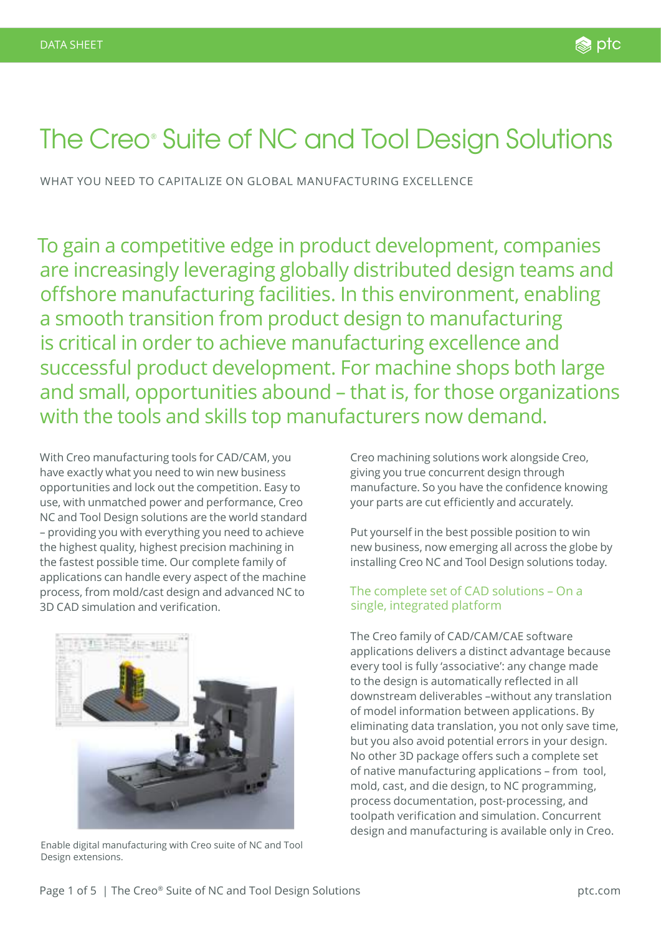# The Creo® Suite of NC and Tool Design Solutions

WHAT YOU NEED TO CAPITALIZE ON GLOBAL MANUFACTURING EXCELLENCE

To gain a competitive edge in product development, companies are increasingly leveraging globally distributed design teams and offshore manufacturing facilities. In this environment, enabling a smooth transition from product design to manufacturing is critical in order to achieve manufacturing excellence and successful product development. For machine shops both large and small, opportunities abound – that is, for those organizations with the tools and skills top manufacturers now demand.

With Creo manufacturing tools for CAD/CAM, you have exactly what you need to win new business opportunities and lock out the competition. Easy to use, with unmatched power and performance, Creo NC and Tool Design solutions are the world standard – providing you with everything you need to achieve the highest quality, highest precision machining in the fastest possible time. Our complete family of applications can handle every aspect of the machine process, from mold/cast design and advanced NC to 3D CAD simulation and verification.



Enable digital manufacturing with Creo suite of NC and Tool Design extensions.

Creo machining solutions work alongside Creo, giving you true concurrent design through manufacture. So you have the confidence knowing your parts are cut efficiently and accurately.

Put yourself in the best possible position to win new business, now emerging all across the globe by installing Creo NC and Tool Design solutions today.

# The complete set of CAD solutions – On a single, integrated platform

The Creo family of CAD/CAM/CAE software applications delivers a distinct advantage because every tool is fully 'associative': any change made to the design is automatically reflected in all downstream deliverables –without any translation of model information between applications. By eliminating data translation, you not only save time, but you also avoid potential errors in your design. No other 3D package offers such a complete set of native manufacturing applications – from tool, mold, cast, and die design, to NC programming, process documentation, post-processing, and toolpath verification and simulation. Concurrent design and manufacturing is available only in Creo.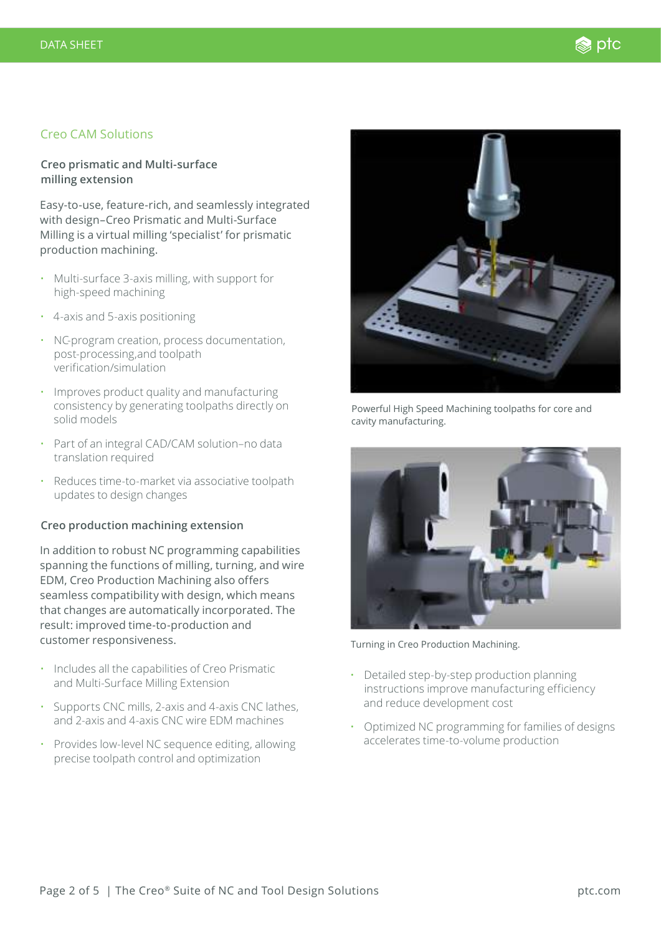# Creo CAM Solutions

## **Creo prismatic and Multi-surface milling extension**

Easy-to-use, feature-rich, and seamlessly integrated with design–Creo Prismatic and Multi-Surface Milling is a virtual milling 'specialist' for prismatic production machining.

- Multi-surface 3-axis milling, with support for high-speed machining
- 4-axis and 5-axis positioning
- NC-program creation, process documentation, post-processing,and toolpath verification/simulation
- Improves product quality and manufacturing consistency by generating toolpaths directly on solid models
- Part of an integral CAD/CAM solution–no data translation required
- Reduces time-to-market via associative toolpath updates to design changes

### **Creo production machining extension**

In addition to robust NC programming capabilities spanning the functions of milling, turning, and wire EDM, Creo Production Machining also offers seamless compatibility with design, which means that changes are automatically incorporated. The result: improved time-to-production and customer responsiveness.

- Includes all the capabilities of Creo Prismatic and Multi-Surface Milling Extension
- Supports CNC mills, 2-axis and 4-axis CNC lathes, and 2-axis and 4-axis CNC wire EDM machines
- Provides low-level NC sequence editing, allowing precise toolpath control and optimization



Powerful High Speed Machining toolpaths for core and cavity manufacturing.



Turning in Creo Production Machining.

- Detailed step-by-step production planning instructions improve manufacturing efficiency and reduce development cost
- Optimized NC programming for families of designs accelerates time-to-volume production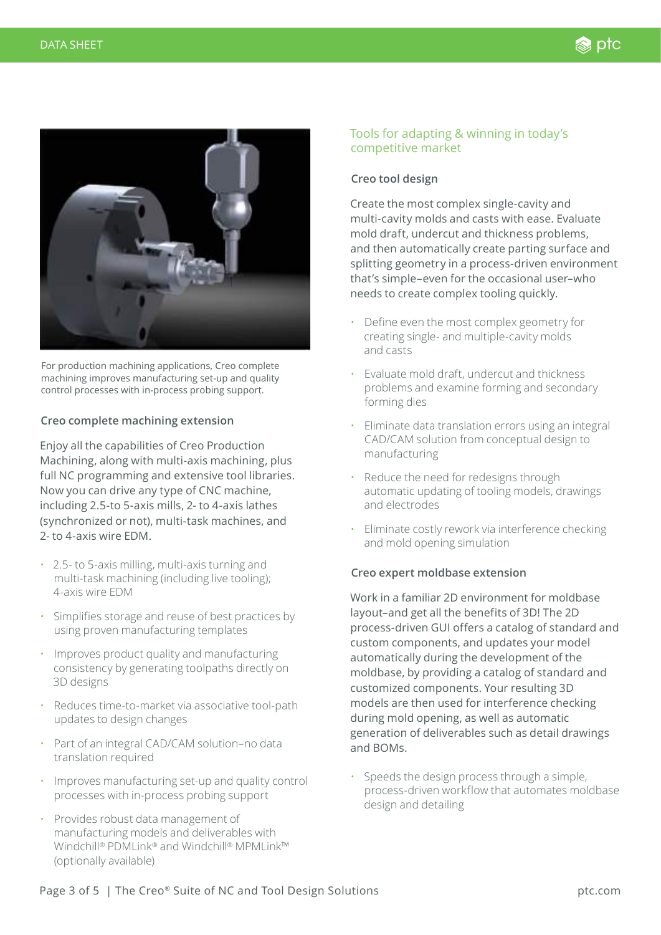

For production machining applications, Creo complete machining improves manufacturing set-up and quality control processes with in-process probing support.

#### **Creo complete machining extension**

Enjoy all the capabilities of Creo Production Machining, along with multi-axis machining, plus full NC programming and extensive tool libraries. Now you can drive any type of CNC machine, including 2.5-to 5-axis mills, 2- to 4-axis lathes (synchronized or not), multi-task machines, and 2- to 4-axis wire EDM.

- 2.5- to 5-axis milling, multi-axis turning and multi-task machining (including live tooling); 4-axis wire EDM
- Simplifies storage and reuse of best practices by using proven manufacturing templates
- Improves product quality and manufacturing consistency by generating toolpaths directly on 3D designs
- Reduces time-to-market via associative tool-path updates to design changes
- Part of an integral CAD/CAM solution–no data translation required
- Improves manufacturing set-up and quality control processes with in-process probing support
- Provides robust data management of manufacturing models and deliverables with Windchill® PDMLink® and Windchill® MPMLink™ (optionally available)

# Tools for adapting & winning in today's competitive market

# **Creo tool design**

Create the most complex single-cavity and multi-cavity molds and casts with ease. Evaluate mold draft, undercut and thickness problems, and then automatically create parting surface and splitting geometry in a process-driven environment that's simple–even for the occasional user–who needs to create complex tooling quickly.

- Define even the most complex geometry for creating single- and multiple-cavity molds and casts
- Evaluate mold draft, undercut and thickness problems and examine forming and secondary forming dies
- Eliminate data translation errors using an integral CAD/CAM solution from conceptual design to manufacturing
- Reduce the need for redesigns through automatic updating of tooling models, drawings and electrodes
- Eliminate costly rework via interference checking and mold opening simulation

### **Creo expert moldbase extension**

Work in a familiar 2D environment for moldbase layout–and get all the benefits of 3D! The 2D process-driven GUI offers a catalog of standard and custom components, and updates your model automatically during the development of the moldbase, by providing a catalog of standard and customized components. Your resulting 3D models are then used for interference checking during mold opening, as well as automatic generation of deliverables such as detail drawings and BOMs.

• Speeds the design process through a simple, process-driven workflow that automates moldbase design and detailing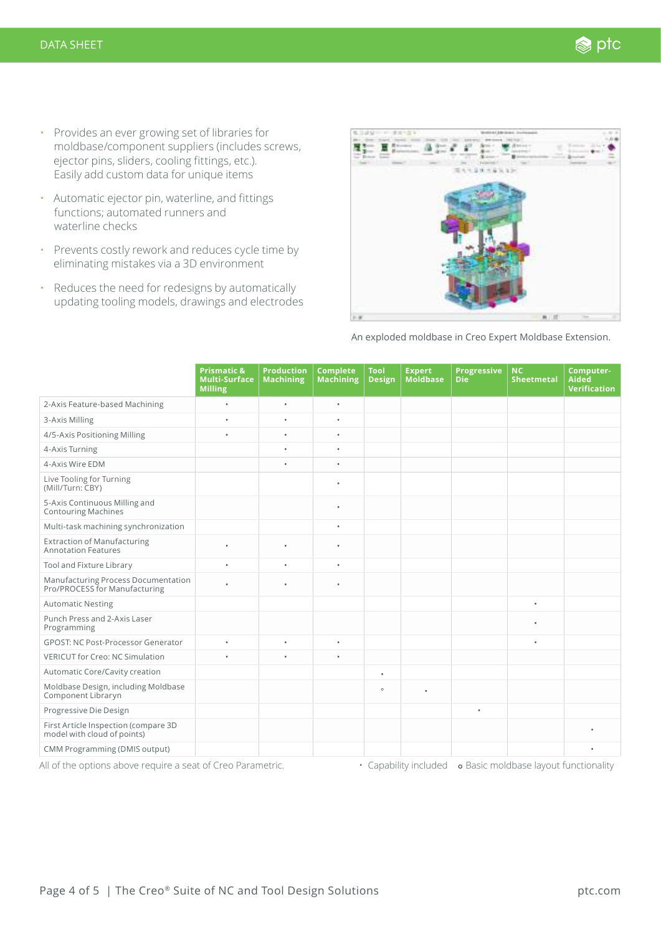- Provides an ever growing set of libraries for moldbase/component suppliers (includes screws, ejector pins, sliders, cooling fittings, etc.). Easily add custom data for unique items
- Automatic ejector pin, waterline, and fittings functions; automated runners and waterline checks
- Prevents costly rework and reduces cycle time by eliminating mistakes via a 3D environment
- Reduces the need for redesigns by automatically updating tooling models, drawings and electrodes



An exploded moldbase in Creo Expert Moldbase Extension.

|                                                                      | <b>Prismatic &amp;</b><br><b>Multi-Surface</b><br><b>Milling</b> | <b>Production</b><br><b>Machining</b> | <b>Complete</b><br><b>Machining</b> | Tool<br><b>Design</b> | <b>Expert</b><br><b>Moldbase</b> | <b>Progressive</b><br><b>Die</b> | <b>NC</b><br><b>Sheetmetal</b> | Computer-<br>Aided<br>Verification |
|----------------------------------------------------------------------|------------------------------------------------------------------|---------------------------------------|-------------------------------------|-----------------------|----------------------------------|----------------------------------|--------------------------------|------------------------------------|
| 2-Axis Feature-based Machining                                       | $\bullet$                                                        | $\bullet$                             | $\bullet$                           |                       |                                  |                                  |                                |                                    |
| 3-Axis Milling                                                       | $\bullet$                                                        | $\bullet$                             | $\bullet$                           |                       |                                  |                                  |                                |                                    |
| 4/5-Axis Positioning Milling                                         | $\bullet$                                                        | $\bullet$                             | $\bullet$                           |                       |                                  |                                  |                                |                                    |
| 4-Axis Turning                                                       |                                                                  | $\bullet$                             | $\bullet$                           |                       |                                  |                                  |                                |                                    |
| 4-Axis Wire EDM                                                      |                                                                  | $\bullet$                             | $\bullet$                           |                       |                                  |                                  |                                |                                    |
| Live Tooling for Turning<br>(Mill/Turn: CBY)                         |                                                                  |                                       | $\bullet$                           |                       |                                  |                                  |                                |                                    |
| 5-Axis Continuous Milling and<br><b>Contouring Machines</b>          |                                                                  |                                       | $\bullet$                           |                       |                                  |                                  |                                |                                    |
| Multi-task machining synchronization                                 |                                                                  |                                       | $\bullet$                           |                       |                                  |                                  |                                |                                    |
| <b>Extraction of Manufacturing</b><br><b>Annotation Features</b>     |                                                                  | $\bullet$                             | $\bullet$                           |                       |                                  |                                  |                                |                                    |
| Tool and Fixture Library                                             | $\bullet$                                                        | $\bullet$                             | $\bullet$                           |                       |                                  |                                  |                                |                                    |
| Manufacturing Process Documentation<br>Pro/PROCESS for Manufacturing | $\bullet$                                                        | $\bullet$                             | $\bullet$                           |                       |                                  |                                  |                                |                                    |
| <b>Automatic Nesting</b>                                             |                                                                  |                                       |                                     |                       |                                  |                                  | $\bullet$                      |                                    |
| Punch Press and 2-Axis Laser<br>Programming                          |                                                                  |                                       |                                     |                       |                                  |                                  | $\bullet$                      |                                    |
| <b>GPOST: NC Post-Processor Generator</b>                            | $\bullet$                                                        | $\bullet$                             | $\bullet$                           |                       |                                  |                                  | $\bullet$                      |                                    |
| VERICUT for Creo: NC Simulation                                      | $\bullet$                                                        | $\bullet$                             | $\bullet$                           |                       |                                  |                                  |                                |                                    |
| Automatic Core/Cavity creation                                       |                                                                  |                                       |                                     | $\bullet$             |                                  |                                  |                                |                                    |
| Moldbase Design, including Moldbase<br>Component Libraryn            |                                                                  |                                       |                                     | $\circ$               | $\bullet$                        |                                  |                                |                                    |
| Progressive Die Design                                               |                                                                  |                                       |                                     |                       |                                  | $\bullet$                        |                                |                                    |
| First Article Inspection (compare 3D<br>model with cloud of points)  |                                                                  |                                       |                                     |                       |                                  |                                  |                                |                                    |
| CMM Programming (DMIS output)                                        |                                                                  |                                       |                                     |                       |                                  |                                  |                                |                                    |

All of the options above require a seat of Creo Parametric. • Capability included • Basic moldbase layout functionality